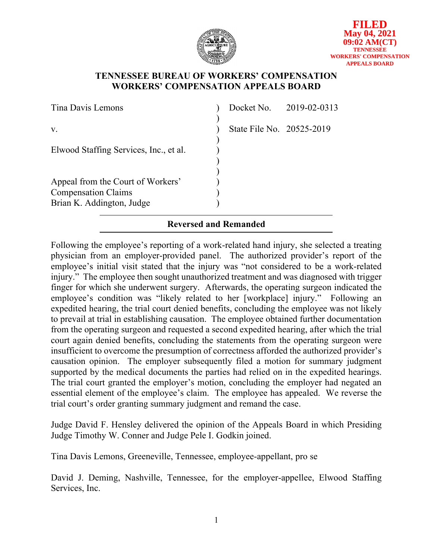

### **TENNESSEE BUREAU OF WORKERS' COMPENSATION WORKERS' COMPENSATION APPEALS BOARD**

| Tina Davis Lemons                                                                            |                           | Docket No. 2019-02-0313 |
|----------------------------------------------------------------------------------------------|---------------------------|-------------------------|
| V.                                                                                           | State File No. 20525-2019 |                         |
| Elwood Staffing Services, Inc., et al.                                                       |                           |                         |
| Appeal from the Court of Workers'<br><b>Compensation Claims</b><br>Brian K. Addington, Judge |                           |                         |

# **Reversed and Remanded**

Following the employee's reporting of a work-related hand injury, she selected a treating physician from an employer-provided panel. The authorized provider's report of the employee's initial visit stated that the injury was "not considered to be a work-related injury." The employee then sought unauthorized treatment and was diagnosed with trigger finger for which she underwent surgery. Afterwards, the operating surgeon indicated the employee's condition was "likely related to her [workplace] injury." Following an expedited hearing, the trial court denied benefits, concluding the employee was not likely to prevail at trial in establishing causation. The employee obtained further documentation from the operating surgeon and requested a second expedited hearing, after which the trial court again denied benefits, concluding the statements from the operating surgeon were insufficient to overcome the presumption of correctness afforded the authorized provider's causation opinion. The employer subsequently filed a motion for summary judgment supported by the medical documents the parties had relied on in the expedited hearings. The trial court granted the employer's motion, concluding the employer had negated an essential element of the employee's claim. The employee has appealed. We reverse the trial court's order granting summary judgment and remand the case.

Judge David F. Hensley delivered the opinion of the Appeals Board in which Presiding Judge Timothy W. Conner and Judge Pele I. Godkin joined.

Tina Davis Lemons, Greeneville, Tennessee, employee-appellant, pro se

David J. Deming, Nashville, Tennessee, for the employer-appellee, Elwood Staffing Services, Inc.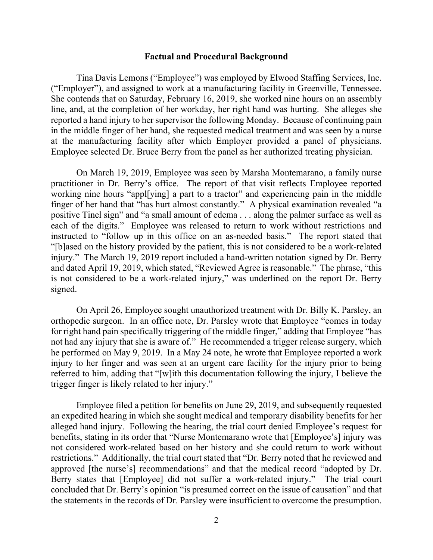#### **Factual and Procedural Background**

Tina Davis Lemons ("Employee") was employed by Elwood Staffing Services, Inc. ("Employer"), and assigned to work at a manufacturing facility in Greenville, Tennessee. She contends that on Saturday, February 16, 2019, she worked nine hours on an assembly line, and, at the completion of her workday, her right hand was hurting. She alleges she reported a hand injury to her supervisor the following Monday. Because of continuing pain in the middle finger of her hand, she requested medical treatment and was seen by a nurse at the manufacturing facility after which Employer provided a panel of physicians. Employee selected Dr. Bruce Berry from the panel as her authorized treating physician.

On March 19, 2019, Employee was seen by Marsha Montemarano, a family nurse practitioner in Dr. Berry's office. The report of that visit reflects Employee reported working nine hours "appl[ying] a part to a tractor" and experiencing pain in the middle finger of her hand that "has hurt almost constantly." A physical examination revealed "a positive Tinel sign" and "a small amount of edema . . . along the palmer surface as well as each of the digits." Employee was released to return to work without restrictions and instructed to "follow up in this office on an as-needed basis." The report stated that "[b]ased on the history provided by the patient, this is not considered to be a work-related injury." The March 19, 2019 report included a hand-written notation signed by Dr. Berry and dated April 19, 2019, which stated, "Reviewed Agree is reasonable." The phrase, "this is not considered to be a work-related injury," was underlined on the report Dr. Berry signed.

On April 26, Employee sought unauthorized treatment with Dr. Billy K. Parsley, an orthopedic surgeon. In an office note, Dr. Parsley wrote that Employee "comes in today for right hand pain specifically triggering of the middle finger," adding that Employee "has not had any injury that she is aware of." He recommended a trigger release surgery, which he performed on May 9, 2019. In a May 24 note, he wrote that Employee reported a work injury to her finger and was seen at an urgent care facility for the injury prior to being referred to him, adding that "[w]ith this documentation following the injury, I believe the trigger finger is likely related to her injury."

Employee filed a petition for benefits on June 29, 2019, and subsequently requested an expedited hearing in which she sought medical and temporary disability benefits for her alleged hand injury. Following the hearing, the trial court denied Employee's request for benefits, stating in its order that "Nurse Montemarano wrote that [Employee's] injury was not considered work-related based on her history and she could return to work without restrictions." Additionally, the trial court stated that "Dr. Berry noted that he reviewed and approved [the nurse's] recommendations" and that the medical record "adopted by Dr. Berry states that [Employee] did not suffer a work-related injury." The trial court concluded that Dr. Berry's opinion "is presumed correct on the issue of causation" and that the statements in the records of Dr. Parsley were insufficient to overcome the presumption.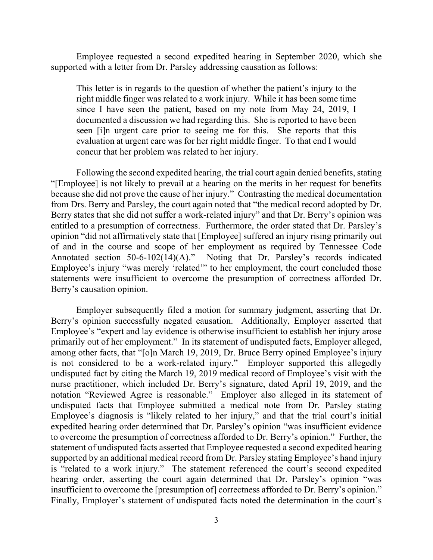Employee requested a second expedited hearing in September 2020, which she supported with a letter from Dr. Parsley addressing causation as follows:

This letter is in regards to the question of whether the patient's injury to the right middle finger was related to a work injury. While it has been some time since I have seen the patient, based on my note from May 24, 2019, I documented a discussion we had regarding this. She is reported to have been seen [i]n urgent care prior to seeing me for this. She reports that this evaluation at urgent care was for her right middle finger. To that end I would concur that her problem was related to her injury.

Following the second expedited hearing, the trial court again denied benefits, stating "[Employee] is not likely to prevail at a hearing on the merits in her request for benefits because she did not prove the cause of her injury." Contrasting the medical documentation from Drs. Berry and Parsley, the court again noted that "the medical record adopted by Dr. Berry states that she did not suffer a work-related injury" and that Dr. Berry's opinion was entitled to a presumption of correctness. Furthermore, the order stated that Dr. Parsley's opinion "did not affirmatively state that [Employee] suffered an injury rising primarily out of and in the course and scope of her employment as required by Tennessee Code Annotated section 50-6-102(14)(A)." Noting that Dr. Parsley's records indicated Employee's injury "was merely 'related'" to her employment, the court concluded those statements were insufficient to overcome the presumption of correctness afforded Dr. Berry's causation opinion.

Employer subsequently filed a motion for summary judgment, asserting that Dr. Berry's opinion successfully negated causation. Additionally, Employer asserted that Employee's "expert and lay evidence is otherwise insufficient to establish her injury arose primarily out of her employment." In its statement of undisputed facts, Employer alleged, among other facts, that "[o]n March 19, 2019, Dr. Bruce Berry opined Employee's injury is not considered to be a work-related injury." Employer supported this allegedly undisputed fact by citing the March 19, 2019 medical record of Employee's visit with the nurse practitioner, which included Dr. Berry's signature, dated April 19, 2019, and the notation "Reviewed Agree is reasonable." Employer also alleged in its statement of undisputed facts that Employee submitted a medical note from Dr. Parsley stating Employee's diagnosis is "likely related to her injury," and that the trial court's initial expedited hearing order determined that Dr. Parsley's opinion "was insufficient evidence to overcome the presumption of correctness afforded to Dr. Berry's opinion." Further, the statement of undisputed facts asserted that Employee requested a second expedited hearing supported by an additional medical record from Dr. Parsley stating Employee's hand injury is "related to a work injury." The statement referenced the court's second expedited hearing order, asserting the court again determined that Dr. Parsley's opinion "was insufficient to overcome the [presumption of] correctness afforded to Dr. Berry's opinion." Finally, Employer's statement of undisputed facts noted the determination in the court's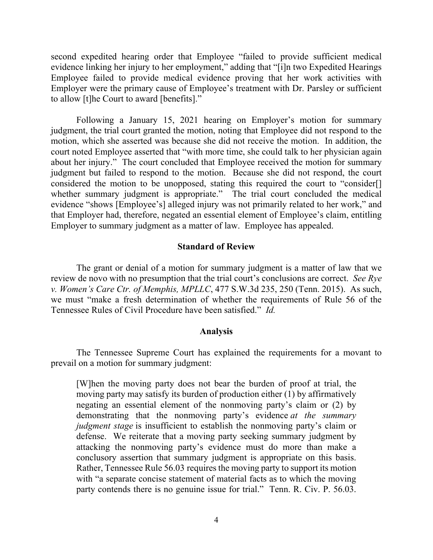second expedited hearing order that Employee "failed to provide sufficient medical evidence linking her injury to her employment," adding that "[i]n two Expedited Hearings Employee failed to provide medical evidence proving that her work activities with Employer were the primary cause of Employee's treatment with Dr. Parsley or sufficient to allow [t]he Court to award [benefits]."

Following a January 15, 2021 hearing on Employer's motion for summary judgment, the trial court granted the motion, noting that Employee did not respond to the motion, which she asserted was because she did not receive the motion. In addition, the court noted Employee asserted that "with more time, she could talk to her physician again about her injury." The court concluded that Employee received the motion for summary judgment but failed to respond to the motion. Because she did not respond, the court considered the motion to be unopposed, stating this required the court to "consider[] whether summary judgment is appropriate." The trial court concluded the medical evidence "shows [Employee's] alleged injury was not primarily related to her work," and that Employer had, therefore, negated an essential element of Employee's claim, entitling Employer to summary judgment as a matter of law. Employee has appealed.

#### **Standard of Review**

The grant or denial of a motion for summary judgment is a matter of law that we review de novo with no presumption that the trial court's conclusions are correct. *See Rye v. Women's Care Ctr. of Memphis, MPLLC*, 477 S.W.3d 235, 250 (Tenn. 2015). As such, we must "make a fresh determination of whether the requirements of Rule 56 of the Tennessee Rules of Civil Procedure have been satisfied." *Id.*

#### **Analysis**

The Tennessee Supreme Court has explained the requirements for a movant to prevail on a motion for summary judgment:

[W]hen the moving party does not bear the burden of proof at trial, the moving party may satisfy its burden of production either (1) by affirmatively negating an essential element of the nonmoving party's claim or (2) by demonstrating that the nonmoving party's evidence *at the summary judgment stage* is insufficient to establish the nonmoving party's claim or defense. We reiterate that a moving party seeking summary judgment by attacking the nonmoving party's evidence must do more than make a conclusory assertion that summary judgment is appropriate on this basis. Rather, Tennessee Rule [56.03](https://advance.lexis.com/search/?pdmfid=1000516&crid=cfba245c-2fb8-4191-a925-b1813ab6187b&pdsearchterms=Lundell+v.+Hubbs%2C+2020+Tenn.+App.+LEXIS+528&pdtypeofsearch=searchboxclick&pdsearchtype=SearchBox&pdstartin=&pdsavestartin=true&pdpsf=jur%3A1%3A67&pdqttype=and&pdquerytemplateid=&pdsf=&ecomp=pys5kkk&earg=pdpsf&prid=d2acb030-4136-4d3d-8d8d-a63ae9dd5905) requires the moving party to support its motion with "a separate concise statement of material facts as to which the moving party contends there is no genuine issue for trial." [Tenn.](https://advance.lexis.com/search/?pdmfid=1000516&crid=cfba245c-2fb8-4191-a925-b1813ab6187b&pdsearchterms=Lundell+v.+Hubbs%2C+2020+Tenn.+App.+LEXIS+528&pdtypeofsearch=searchboxclick&pdsearchtype=SearchBox&pdstartin=&pdsavestartin=true&pdpsf=jur%3A1%3A67&pdqttype=and&pdquerytemplateid=&pdsf=&ecomp=pys5kkk&earg=pdpsf&prid=d2acb030-4136-4d3d-8d8d-a63ae9dd5905) R. Civ. P. 56.03.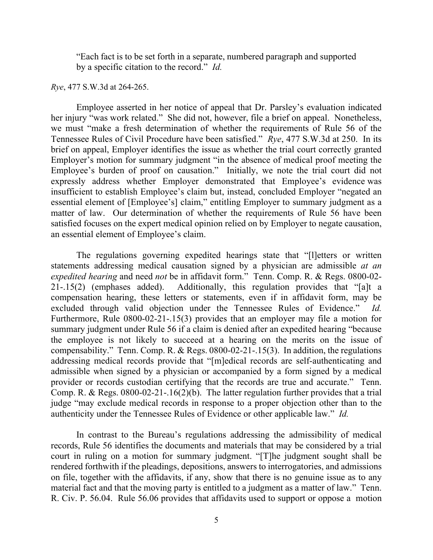"Each fact is to be set forth in a separate, numbered paragraph and supported by a specific citation to the record." *Id.*

#### *Rye*, 477 S.W.3d at 264-265.

Employee asserted in her notice of appeal that Dr. Parsley's evaluation indicated her injury "was work related." She did not, however, file a brief on appeal. Nonetheless, we must "make a fresh determination of whether the requirements of Rule 56 of the Tennessee Rules of Civil Procedure have been satisfied." *Rye*, 477 S.W.3d at 250. In its brief on appeal, Employer identifies the issue as whether the trial court correctly granted Employer's motion for summary judgment "in the absence of medical proof meeting the Employee's burden of proof on causation." Initially, we note the trial court did not expressly address whether Employer demonstrated that Employee's evidence was insufficient to establish Employee's claim but, instead, concluded Employer "negated an essential element of [Employee's] claim," entitling Employer to summary judgment as a matter of law. Our determination of whether the requirements of Rule 56 have been satisfied focuses on the expert medical opinion relied on by Employer to negate causation, an essential element of Employee's claim.

The regulations governing expedited hearings state that "[l]etters or written statements addressing medical causation signed by a physician are admissible *at an expedited hearing* and need *not* be in affidavit form." Tenn. Comp. R. & Regs. 0800-02- 21-.15(2) (emphases added). Additionally, this regulation provides that "[a]t a compensation hearing, these letters or statements, even if in affidavit form, may be excluded through valid objection under the Tennessee Rules of Evidence." *Id.*  Furthermore, Rule 0800-02-21-.15(3) provides that an employer may file a motion for summary judgment under Rule 56 if a claim is denied after an expedited hearing "because the employee is not likely to succeed at a hearing on the merits on the issue of compensability." Tenn. Comp. R. & Regs. 0800-02-21-.15(3). In addition, the regulations addressing medical records provide that "[m]edical records are self-authenticating and admissible when signed by a physician or accompanied by a form signed by a medical provider or records custodian certifying that the records are true and accurate." Tenn. Comp. R. & Regs. 0800-02-21-.16(2)(b). The latter regulation further provides that a trial judge "may exclude medical records in response to a proper objection other than to the authenticity under the Tennessee Rules of Evidence or other applicable law." *Id.*

In contrast to the Bureau's regulations addressing the admissibility of medical records, Rule 56 identifies the documents and materials that may be considered by a trial court in ruling on a motion for summary judgment. "[T]he judgment sought shall be rendered forthwith if the pleadings, depositions, answers to interrogatories, and admissions on file, together with the affidavits, if any, show that there is no genuine issue as to any material fact and that the moving party is entitled to a judgment as a matter of law." Tenn. R. Civ. P. 56.04. Rule 56.06 provides that affidavits used to support or oppose a motion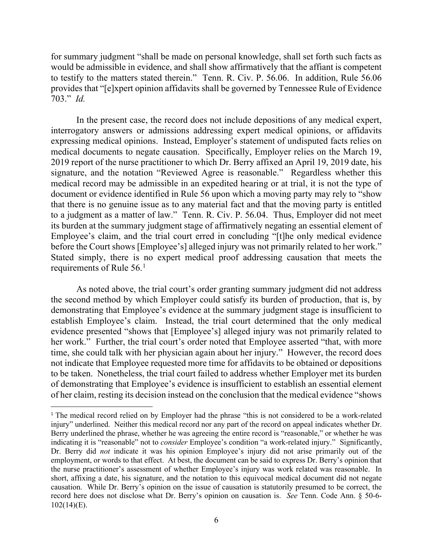for summary judgment "shall be made on personal knowledge, shall set forth such facts as would be admissible in evidence, and shall show affirmatively that the affiant is competent to testify to the matters stated therein." Tenn. R. Civ. P. 56.06. In addition, Rule 56.06 provides that "[e]xpert opinion affidavits shall be governed by Tennessee Rule of Evidence 703." *Id.* 

In the present case, the record does not include depositions of any medical expert, interrogatory answers or admissions addressing expert medical opinions, or affidavits expressing medical opinions. Instead, Employer's statement of undisputed facts relies on medical documents to negate causation. Specifically, Employer relies on the March 19, 2019 report of the nurse practitioner to which Dr. Berry affixed an April 19, 2019 date, his signature, and the notation "Reviewed Agree is reasonable." Regardless whether this medical record may be admissible in an expedited hearing or at trial, it is not the type of document or evidence identified in Rule 56 upon which a moving party may rely to "show that there is no genuine issue as to any material fact and that the moving party is entitled to a judgment as a matter of law." Tenn. R. Civ. P. 56.04. Thus, Employer did not meet its burden at the summary judgment stage of affirmatively negating an essential element of Employee's claim, and the trial court erred in concluding "[t]he only medical evidence before the Court shows [Employee's] alleged injury was not primarily related to her work." Stated simply, there is no expert medical proof addressing causation that meets the requirements of Rule 56.[1](#page-5-0)

As noted above, the trial court's order granting summary judgment did not address the second method by which Employer could satisfy its burden of production, that is, by demonstrating that Employee's evidence at the summary judgment stage is insufficient to establish Employee's claim. Instead, the trial court determined that the only medical evidence presented "shows that [Employee's] alleged injury was not primarily related to her work." Further, the trial court's order noted that Employee asserted "that, with more time, she could talk with her physician again about her injury." However, the record does not indicate that Employee requested more time for affidavits to be obtained or depositions to be taken. Nonetheless, the trial court failed to address whether Employer met its burden of demonstrating that Employee's evidence is insufficient to establish an essential element of her claim, resting its decision instead on the conclusion that the medical evidence "shows

<span id="page-5-0"></span><sup>1</sup> The medical record relied on by Employer had the phrase "this is not considered to be a work-related injury" underlined. Neither this medical record nor any part of the record on appeal indicates whether Dr. Berry underlined the phrase, whether he was agreeing the entire record is "reasonable," or whether he was indicating it is "reasonable" not to *consider* Employee's condition "a work-related injury." Significantly, Dr. Berry did *not* indicate it was his opinion Employee's injury did not arise primarily out of the employment, or words to that effect. At best, the document can be said to express Dr. Berry's opinion that the nurse practitioner's assessment of whether Employee's injury was work related was reasonable. In short, affixing a date, his signature, and the notation to this equivocal medical document did not negate causation. While Dr. Berry's opinion on the issue of causation is statutorily presumed to be correct, the record here does not disclose what Dr. Berry's opinion on causation is. *See* Tenn. Code Ann. § 50-6-  $102(14)(E)$ .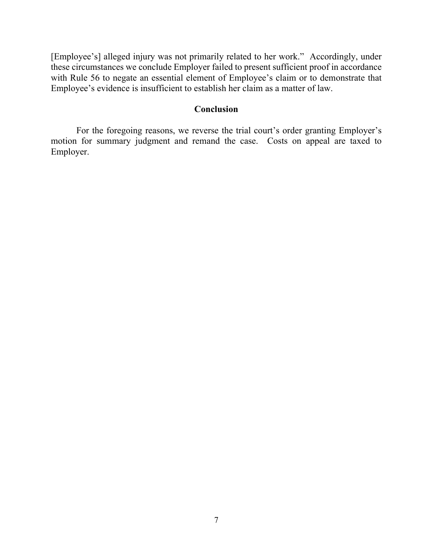[Employee's] alleged injury was not primarily related to her work." Accordingly, under these circumstances we conclude Employer failed to present sufficient proof in accordance with Rule 56 to negate an essential element of Employee's claim or to demonstrate that Employee's evidence is insufficient to establish her claim as a matter of law.

### **Conclusion**

For the foregoing reasons, we reverse the trial court's order granting Employer's motion for summary judgment and remand the case. Costs on appeal are taxed to Employer.